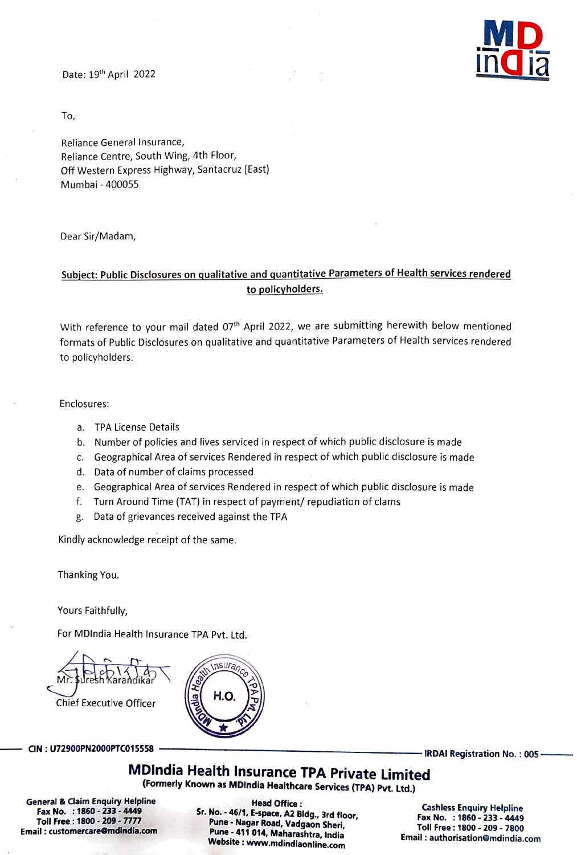

To,

Reliance General Insurance, Reliance Centre, South Wing, 4th Floor, off Western Express Highway, Santacruz (East) Mumbai- 400055

Dear Sir/Madam,

## Subject: Public Disclosures on qualitative and quantitative Parameters of Health services rendered to policyholders.

With reference to your mail dated 07<sup>th</sup> April 2022, we are submitting herewith below mentioned formats of Public Disclosures on qualitative and quantitative Parameters of Health services rendered to policyholders.

## Enclosures:

- a. TPA License Details
- b. Number of policies and lives serviced in respect of which public disclosure is made
- C. Geographical Area of services Rendered in respect of which public disclosure is made
- d. Data of number of claims processed
- e. Geographical Area of services Rendered in respect of which public disclosure is made
- f. Turn Around Time (TAT) in respect of payment/ repudiation of clams

nsuran

8. Data of grievances received against the TPA

Kindly acknowledge receipt of the same.

Thanking You.

Yours Faithfully,

For MDIndia Health Insurance TPA Pvt. Ltd.

**Chief Executive Officer** 

CIN: U72900PN2000PTCO15558 IRDAI Registration No. : 005-

MDIndia Health Insurance TPA Private Limited (Formerly Known as MDlndia Healthcare Services (TPA) PVt. Ltd.)

General& Claim Enquiry Helpline Fax No. : 1860 - 233 - 4449 Toll Free:1800 209-7777 Email : customercare@mdindia.com

Head Office :<br>Sr. No. - 46/1, E-space, A2 Bldg., 3rd floor,<br>Pune - Nagar Road, Vadgaon Sheri,<br>Pune - 411 014, Maharashtra, India<br>Website : www.mdindiaonline.com

Cashless Enquiry Helpline Fax No. : 1860 - 233 - 4449 Toll Free: 1800 - 209 - 7800 Email: authorisation@mdindia.com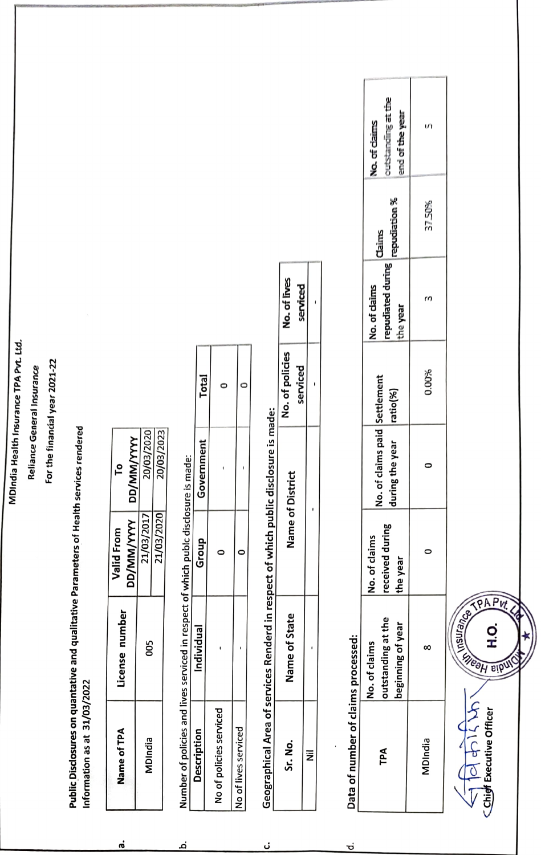MDIndia Health Insurance TPA Pvt. Ltd. MDIndia Health Insurance TPA Pvt. Ltd.

Reliance General Insurance Reliance General Insurance

## For the financial year 2021-22 For the financial year 2021-22

Public Disclosures on quantative and qualitative Parameters of Health services rendered Public Disclosures on quantative and qualitative Parameters of Health services rendered Information as at 31/03/2022 Information as at 31/03/2022

| Name of TPA | License number | Valid From        |            |
|-------------|----------------|-------------------|------------|
|             |                | <b>DD/MM/YYYY</b> | DD/MM/YYY  |
| MDIndia     | 80             | 21/03/2017        | 20/03/2020 |
|             |                | 21/03/2020        | 20/03/2023 |

 $\dot{\mathbf{e}}$ 

Number of policies and lives serviced in respect of which publc disclosure is made:

<u>ٰم</u>

| Number of policies and lives serviced in respect of which publc disclosure is made: |           |       |            |              |
|-------------------------------------------------------------------------------------|-----------|-------|------------|--------------|
|                                                                                     | ndividual | Group | Government | <b>Total</b> |
|                                                                                     |           |       |            |              |
| No of policies serviced                                                             |           |       |            |              |
|                                                                                     |           |       |            |              |
| No of lives serviced                                                                |           |       |            |              |
|                                                                                     |           |       |            |              |

Geographical Area of services Renderd in respect of which public disclosure is made: Geographical Area of servicesRenderd in respect of which public disclosure is made:

ن

|  | no of District | t polici<br>Ě | o.oth    |
|--|----------------|---------------|----------|
|  |                | erviced       | verviced |
|  |                |               |          |
|  |                |               |          |

Data of number of claims processed:

흐

|                                     | <b>Jutstanding at the</b><br>end of the year<br>No. of claims | n       |
|-------------------------------------|---------------------------------------------------------------|---------|
|                                     | repudiation %<br>Claims                                       | 37.50%  |
|                                     | repudiated during<br>No. of daims<br>the year                 |         |
|                                     | ratio(%)                                                      | 0.00%   |
|                                     | No. of claims paid Settlement<br>during the year              |         |
|                                     | received during<br>No. of claims<br>the year                  |         |
|                                     | outstanding at the<br>Jeginning of year<br>No. of claims      | ∞       |
| Data of number of claims processed: | TPA                                                           | MDIndia |
|                                     |                                                               |         |